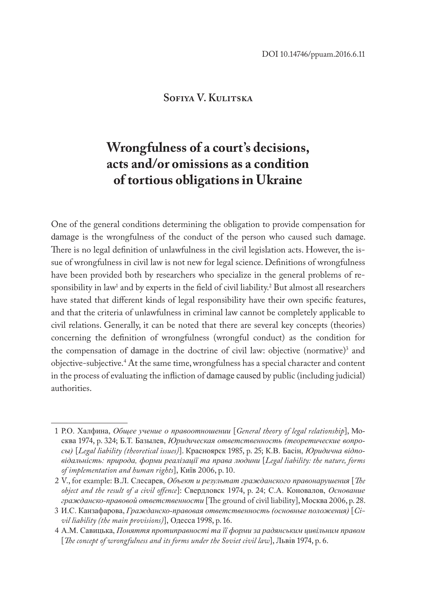## **Sofiya V. Kulitska**

# **Wrongfulness of a court's decisions, acts and/or omissions as a condition of tortious obligations in Ukraine**

One of the general conditions determining the obligation to provide compensation for damage is the wrongfulness of the conduct of the person who caused such damage. There is no legal definition of unlawfulness in the civil legislation acts. However, the issue of wrongfulness in civil law is not new for legal science. Definitions of wrongfulness have been provided both by researchers who specialize in the general problems of re $s$ ponsibility in law<sup>1</sup> and by experts in the field of civil liability.<sup>2</sup> But almost all researchers have stated that different kinds of legal responsibility have their own specific features, and that the criteria of unlawfulness in criminal law cannot be completely applicable to civil relations. Generally, it can be noted that there are several key concepts (theories) concerning the definition of wrongfulness (wrongful conduct) as the condition for the compensation of damage in the doctrine of civil law: objective (normative)<sup>3</sup> and objective-subjective.4 At the same time, wrongfulness has a special character and content in the process of evaluating the infliction of damage caused by public (including judicial) authorities.

<sup>1</sup> Р.О. Халфина, *Общее учение о правоотношении* [*General theory of legal relationship*], Москва 1974, p. 324; Б.Т. Базылев, *Юридическая ответственность (теоретические вопросы)* [*Legal liability (theoretical issues)*]. Красноярск 1985, p. 25; К.В. Басін, *Юридична відповідальність: природа, форми реалізації та права людини* [*Legal liability: the nature, forms of implementation and human rights*], Київ 2006, p. 10.

<sup>2</sup> V., for example: В.Л. Слесарев, *Объект и результат гражданского правонарушения* [*The object and the result of a civil offence*]: Свердловск 1974, p. 24; С.А. Коновалов, *Основание гражданско-правовой ответственности* [The ground of civil liability], Мoсква 2006, p. 28.

<sup>3</sup> И.С. Канзафарова, *Гражданско-правовая ответственность (основные положения)* [*Civil liability (the main provisions)*], Одесса 1998, p. 16.

<sup>4</sup> А.М. Савицька, *Поняття протиправності та її форми за радянським цивільним правом* [*The concept of wrongfulness and its forms under the Soviet civil law*], Львів 1974, p. 6.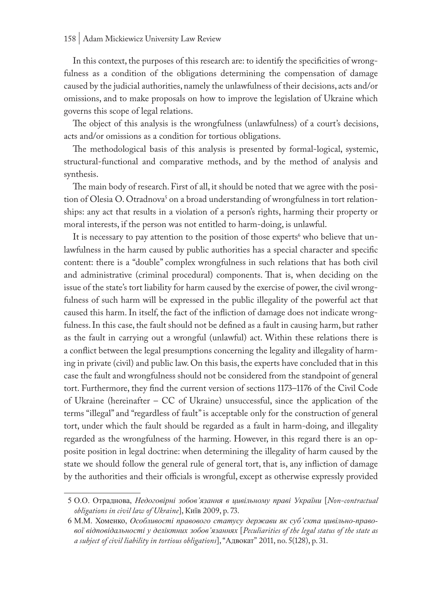In this context, the purposes of this research are: to identify the specificities of wrongfulness as a condition of the obligations determining the compensation of damage caused by the judicial authorities, namely the unlawfulness of their decisions, acts and/or omissions, and to make proposals on how to improve the legislation of Ukraine which governs this scope of legal relations.

The object of this analysis is the wrongfulness (unlawfulness) of a court's decisions, acts and/or omissions as a condition for tortious obligations.

The methodological basis of this analysis is presented by formal-logical, systemic, structural-functional and comparative methods, and by the method of analysis and synthesis.

The main body of research. First of all, it should be noted that we agree with the position of Olesia O. Otradnova<sup>s</sup> on a broad understanding of wrongfulness in tort relationships: any act that results in a violation of a person's rights, harming their property or moral interests, if the person was not entitled to harm-doing, is unlawful.

It is necessary to pay attention to the position of those experts<sup>6</sup> who believe that unlawfulness in the harm caused by public authorities has a special character and specific content: there is a "double" complex wrongfulness in such relations that has both civil and administrative (criminal procedural) components. That is, when deciding on the issue of the state's tort liability for harm caused by the exercise of power, the civil wrongfulness of such harm will be expressed in the public illegality of the powerful act that caused this harm. In itself, the fact of the infliction of damage does not indicate wrongfulness. In this case, the fault should not be defined as a fault in causing harm, but rather as the fault in carrying out a wrongful (unlawful) act. Within these relations there is a conflict between the legal presumptions concerning the legality and illegality of harming in private (civil) and public law. On this basis, the experts have concluded that in this case the fault and wrongfulness should not be considered from the standpoint of general tort. Furthermore, they find the current version of sections 1173–1176 of the Civil Code of Ukraine (hereinafter – CC of Ukraine) unsuccessful, since the application of the terms "illegal" and "regardless of fault" is acceptable only for the construction of general tort, under which the fault should be regarded as a fault in harm-doing, and illegality regarded as the wrongfulness of the harming. However, in this regard there is an opposite position in legal doctrine: when determining the illegality of harm caused by the state we should follow the general rule of general tort, that is, any infliction of damage by the authorities and their officials is wrongful, except as otherwise expressly provided

<sup>5</sup> О.О. Отраднова, *Недоговірні зобов'язання в цивільному праві України* [*Non-contractual obligations in civil law of Ukraine*], Київ 2009, p. 73.

<sup>6</sup> М.М. Хоменко, *Особливості правового статусу держави як суб'єкта цивільно-правової відповідальності у деліктних зобов'язаннях* [*Peculiarities of the legal status of the state as a subject of civil liability in tortious obligations*], "Адвокат" 2011, no. 5(128), p. 31.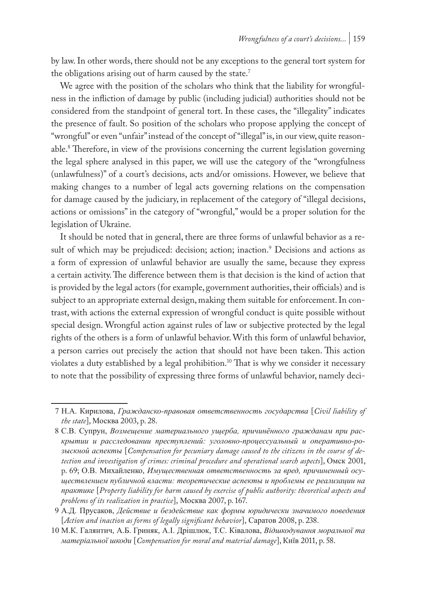by law. In other words, there should not be any exceptions to the general tort system for the obligations arising out of harm caused by the state.<sup>7</sup>

We agree with the position of the scholars who think that the liability for wrongfulness in the infliction of damage by public (including judicial) authorities should not be considered from the standpoint of general tort. In these cases, the "illegality" indicates the presence of fault. So position of the scholars who propose applying the concept of "wrongful" or even "unfair" instead of the concept of "illegal" is, in our view, quite reasonable.8 Therefore, in view of the provisions concerning the current legislation governing the legal sphere analysed in this paper, we will use the category of the "wrongfulness (unlawfulness)" of a court's decisions, acts and/or omissions. However, we believe that making changes to a number of legal acts governing relations on the compensation for damage caused by the judiciary, in replacement of the category of "illegal decisions, actions or omissions" in the category of "wrongful," would be a proper solution for the legislation of Ukraine.

It should be noted that in general, there are three forms of unlawful behavior as a result of which may be prejudiced: decision; action; inaction.<sup>9</sup> Decisions and actions as a form of expression of unlawful behavior are usually the same, because they express a certain activity. The difference between them is that decision is the kind of action that is provided by the legal actors (for example, government authorities, their officials) and is subject to an appropriate external design, making them suitable for enforcement. In contrast, with actions the external expression of wrongful conduct is quite possible without special design. Wrongful action against rules of law or subjective protected by the legal rights of the others is a form of unlawful behavior. With this form of unlawful behavior, a person carries out precisely the action that should not have been taken. This action violates a duty established by a legal prohibition.<sup>10</sup> That is why we consider it necessary to note that the possibility of expressing three forms of unlawful behavior, namely deci-

<sup>7</sup> Н.А. Кирилова, *Гражданско-правовая ответственность государства* [*Civil liability of the state*], Москва 2003, p. 28.

<sup>8</sup> С.В. Супрун, *Возмещение материального ущерба, причинённого гражданам при раскрытии и расследовании преступлений: уголовно-процессуальный и оперативно-розыскной аспекты* [*Compensation for pecuniary damage caused to the citizens in the course of detection and investigation of crimes: criminal procedure and operational search aspects*], Омск 2001, p. 69; О.В. Михайленко, *Имущественная ответственность за вред, причиненный осуществлением публичной власти: теоретические аспекты и проблемы ее реализации на практике* [*Property liability for harm caused by exercise of public authority: theoretical aspects and problems of its realization in practice*], Москва 2007, p. 167.

<sup>9</sup> А.Д. Прусаков, *Действие и бездействие как формы юридически значимого поведения*  [*Action and inaction as forms of legally significant behavior*], Саратов 2008, p. 238.

<sup>10</sup> М.К. Галянтич, А.Б. Гриняк, А.І. Дрішлюк, Т.С. Ківалова, *Відшкодування моральної та матеріальної шкоди* [*Compensation for moral and material damage*], Київ 2011, p. 58.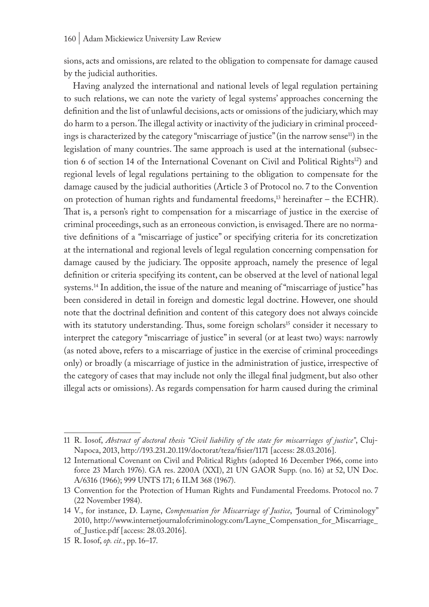sions, acts and omissions, are related to the obligation to compensate for damage caused by the judicial authorities.

Having analyzed the international and national levels of legal regulation pertaining to such relations, we can note the variety of legal systems' approaches concerning the definition and the list of unlawful decisions, acts or omissions of the judiciary, which may do harm to a person. The illegal activity or inactivity of the judiciary in criminal proceedings is characterized by the category "miscarriage of justice" (in the narrow sense<sup>11</sup>) in the legislation of many countries. The same approach is used at the international (subsection 6 of section 14 of the International Covenant on Civil and Political Rights<sup>12</sup>) and regional levels of legal regulations pertaining to the obligation to compensate for the damage caused by the judicial authorities (Article 3 of Protocol no. 7 to the Convention on protection of human rights and fundamental freedoms,<sup>13</sup> hereinafter - the ECHR). That is, a person's right to compensation for a miscarriage of justice in the exercise of criminal proceedings, such as an erroneous conviction, is envisaged. There are no normative definitions of a "miscarriage of justice" or specifying criteria for its concretization at the international and regional levels of legal regulation concerning compensation for damage caused by the judiciary. The opposite approach, namely the presence of legal definition or criteria specifying its content, can be observed at the level of national legal systems.<sup>14</sup> In addition, the issue of the nature and meaning of "miscarriage of justice" has been considered in detail in foreign and domestic legal doctrine. However, one should note that the doctrinal definition and content of this category does not always coincide with its statutory understanding. Thus, some foreign scholars<sup>15</sup> consider it necessary to interpret the category "miscarriage of justice" in several (or at least two) ways: narrowly (as noted above, refers to a miscarriage of justice in the exercise of criminal proceedings only) or broadly (a miscarriage of justice in the administration of justice, irrespective of the category of cases that may include not only the illegal final judgment, but also other illegal acts or omissions). As regards compensation for harm caused during the criminal

<sup>11</sup> R. Iosof, *Abstract of doctoral thesis "Civil liability of the state for miscarriages of justice"*, Cluj-Napoca, 2013, http://193.231.20.119/doctorat/teza/fisier/1171 [access: 28.03.2016].

<sup>12</sup> International Covenant on Civil and Political Rights (adopted 16 December 1966, come into force 23 March 1976). GA res. 2200A (XXI), 21 UN GAOR Supp. (no. 16) at 52, UN Doc. A/6316 (1966); 999 UNTS 171; 6 ILM 368 (1967).

<sup>13</sup> Convention for the Protection of Human Rights and Fundamental Freedoms. Protocol no. 7 (22 November 1984).

<sup>14</sup> V., for instance, D. Layne, *Compensation for Miscarriage of Justice*, *"*Journal of Criminology" 2010, http://www.internetjournalofcriminology.com/Layne\_Compensation\_for\_Miscarriage\_ of\_Justice.pdf [access: 28.03.2016].

<sup>15</sup> R. Iosof, *op. cit.*, pp. 16–17.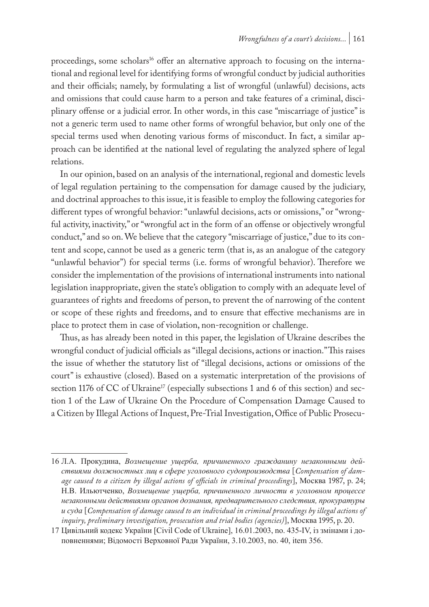proceedings, some scholars<sup>16</sup> offer an alternative approach to focusing on the international and regional level for identifying forms of wrongful conduct by judicial authorities and their officials; namely, by formulating a list of wrongful (unlawful) decisions, acts and omissions that could cause harm to a person and take features of a criminal, disciplinary offense or a judicial error. In other words, in this case "miscarriage of justice" is not a generic term used to name other forms of wrongful behavior, but only one of the special terms used when denoting various forms of misconduct. In fact, a similar approach can be identified at the national level of regulating the analyzed sphere of legal relations.

In our opinion, based on an analysis of the international, regional and domestic levels of legal regulation pertaining to the compensation for damage caused by the judiciary, and doctrinal approaches to this issue, it is feasible to employ the following categories for different types of wrongful behavior: "unlawful decisions, acts or omissions," or "wrongful activity, inactivity," or "wrongful act in the form of an offense or objectively wrongful conduct," and so on. We believe that the category "miscarriage of justice," due to its content and scope, cannot be used as a generic term (that is, as an analogue of the category "unlawful behavior") for special terms (i.e. forms of wrongful behavior). Therefore we consider the implementation of the provisions of international instruments into national legislation inappropriate, given the state's obligation to comply with an adequate level of guarantees of rights and freedoms of person, to prevent the of narrowing of the content or scope of these rights and freedoms, and to ensure that effective mechanisms are in place to protect them in case of violation, non-recognition or challenge.

Thus, as has already been noted in this paper, the legislation of Ukraine describes the wrongful conduct of judicial officials as "illegal decisions, actions or inaction." This raises the issue of whether the statutory list of "illegal decisions, actions or omissions of the court" is exhaustive (closed). Based on a systematic interpretation of the provisions of section 1176 of CC of Ukraine<sup>17</sup> (especially subsections 1 and 6 of this section) and section 1 of the Law of Ukraine On the Procedure of Compensation Damage Caused to a Citizen by Illegal Actions of Inquest, Pre-Trial Investigation, Office of Public Prosecu-

<sup>16</sup> Л.А. Прокудина, *Возмещение ущерба, причиненного гражданину незаконными действиями должностных лиц в сфере уголовного судопроизводства* [*Compensation of damage caused to a citizen by illegal actions of officials in criminal proceedings*], Москва 1987, p. 24; Н.В. Ильютченко, *Возмещение ущерба, причиненного личности в уголовном процессе незаконными действиями органов дознания, предварительного следствия, прокуратуры и суда* [*Compensation of damage caused to an individual in criminal proceedings by illegal actions of inquiry, preliminary investigation, prosecution and trial bodies (agencies)*], Москва 1995, p. 20.

<sup>17</sup> Цивільний кодекс України [Civil Code of Ukraine], 16.01.2003, no. 435-IV, із змінами і доповненнями; Відомості Верховної Ради України, 3.10.2003, no. 40, item 356.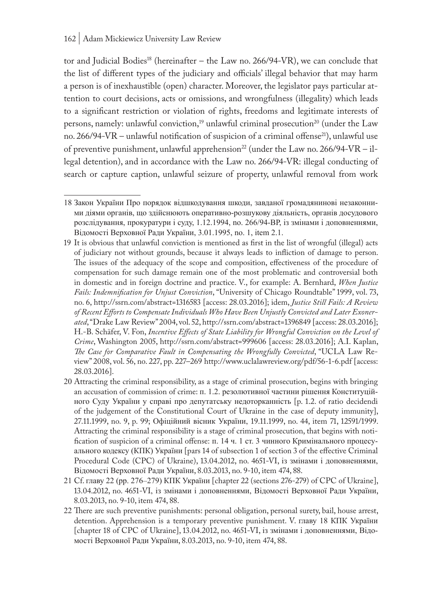tor and Judicial Bodies<sup>18</sup> (hereinafter – the Law no.  $266/94$ -VR), we can conclude that the list of different types of the judiciary and officials' illegal behavior that may harm a person is of inexhaustible (open) character. Moreover, the legislator pays particular attention to court decisions, acts or omissions, and wrongfulness (illegality) which leads to a significant restriction or violation of rights, freedoms and legitimate interests of persons, namely: unlawful conviction,<sup>19</sup> unlawful criminal prosecution<sup>20</sup> (under the Law no. 266/94-VR – unlawful notification of suspicion of a criminal offense<sup>21</sup>), unlawful use of preventive punishment, unlawful apprehension<sup>22</sup> (under the Law no. 266/94-VR – illegal detention), and in accordance with the Law no. 266/94-VR: illegal conducting of search or capture caption, unlawful seizure of property, unlawful removal from work

<sup>18</sup> Закон України Про порядок відшкодування шкоди, завданої громадянинові незаконними діями органів, що здійснюють оперативно-розшукову діяльність, органів досудового розслідування, прокуратури і суду, 1.12.1994, no. 266/94-ВР, із змінами і доповненнями, Відомості Верховної Ради України, 3.01.1995, no. 1, item 2.1.

<sup>19</sup> It is obvious that unlawful conviction is mentioned as first in the list of wrongful (illegal) acts of judiciary not without grounds, because it always leads to infliction of damage to person. The issues of the adequacy of the scope and composition, effectiveness of the procedure of compensation for such damage remain one of the most problematic and controversial both in domestic and in foreign doctrine and practice. V., for example: A. Bernhard, *When Justice Fails: Indemnification for Unjust Conviction*, "University of Chicago Roundtable" 1999, vol. 73, no. 6, http://ssrn.com/abstract=1316583 [access: 28.03.2016]; idem, *Justice Still Fails: A Review of Recent Efforts to Compensate Individuals Who Have Been Unjustly Convicted and Later Exonerated*, "Drake Law Review" 2004, vol. 52, http://ssrn.com/abstract=1396849 [access: 28.03.2016]; H.-B. Schäfer, V. Fon, *Incentive Effects of State Liability for Wrongful Conviction on the Level of Crime*, Washington 2005, http://ssrn.com/abstract=999606 [access: 28.03.2016]; A.I. Kaplan, *The Case for Comparative Fault in Compensating the Wrongfully Convicted*, "UCLA Law Review" 2008, vol. 56, no. 227, pp. 227–269 http://www.uclalawreview.org/pdf/56-1-6.pdf [access: 28.03.2016].

<sup>20</sup> Attracting the criminal responsibility, as a stage of criminal prosecution, begins with bringing an accusation of commission of crime: п. 1.2. резолютивної частини рішення Конституційного Суду України у справі про депутатську недоторканність [p. 1.2. of ratio decidendi of the judgement of the Constitutional Court of Ukraine in the case of deputy immunity], 27.11.1999, no. 9, p. 99; Офіційний вісник України, 19.11.1999, no. 44, item 71, 12591/1999. Attracting the criminal responsibility is a stage of criminal prosecution, that begins with notification of suspicion of a criminal offense: п. 14 ч. 1 ст. 3 чинного Кримінального процесуального кодексу (КПК) України [pars 14 of subsection 1 of section 3 of the effective Criminal Procedural Code (CPC) of Ukraine), 13.04.2012, no. 4651-VI, із змінами і доповненнями, Відомості Верховної Ради України, 8.03.2013, no. 9-10, item 474, 88.

<sup>21</sup> Cf. главу 22 (pp. 276–279) КПК України [chapter 22 (sections 276-279) of CPC of Ukraine], 13.04.2012, no. 4651-VI, із змінами і доповненнями, Відомості Верховної Ради України, 8.03.2013, no. 9-10, item 474, 88.

<sup>22</sup> There are such preventive punishments: personal obligation, personal surety, bail, house arrest, detention. Apprehension is a temporary preventive punishment. V. главу 18 КПК України [chapter 18 of CPC of Ukraine], 13.04.2012, no. 4651-VI, із змінами і доповненнями, Відомості Верховної Ради України, 8.03.2013, no. 9-10, item 474, 88.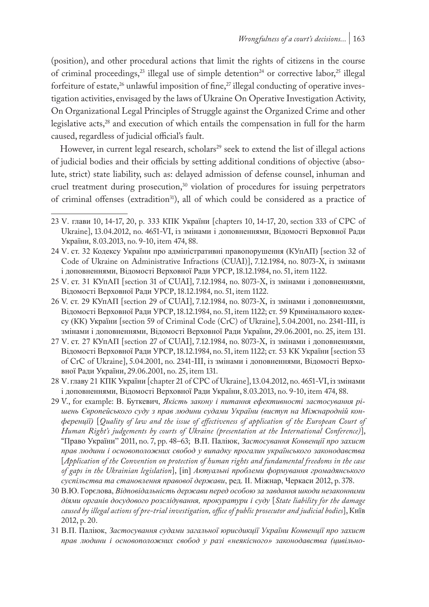(position), and other procedural actions that limit the rights of citizens in the course of criminal proceedings,<sup>23</sup> illegal use of simple detention<sup>24</sup> or corrective labor,<sup>25</sup> illegal forfeiture of estate,<sup>26</sup> unlawful imposition of fine,<sup>27</sup> illegal conducting of operative investigation activities, envisaged by the laws of Ukraine On Operative Investigation Activity, On Organizational Legal Principles of Struggle against the Organized Crime and other legislative acts,<sup>28</sup> and execution of which entails the compensation in full for the harm caused, regardless of judicial official's fault.

However, in current legal research, scholars<sup>29</sup> seek to extend the list of illegal actions of judicial bodies and their officials by setting additional conditions of objective (absolute, strict) state liability, such as: delayed admission of defense counsel, inhuman and cruel treatment during prosecution,<sup>30</sup> violation of procedures for issuing perpetrators of criminal offenses (extradition<sup>31</sup>), all of which could be considered as a practice of

<sup>23</sup> V. глави 10, 14-17, 20, p. 333 КПК України [chapters 10, 14-17, 20, section 333 of CPC of Ukraine], 13.04.2012, no. 4651-VI, із змінами і доповненнями, Відомості Верховної Ради України, 8.03.2013, no. 9-10, item 474, 88.

<sup>24</sup> V. ст. 32 Кодексу України про адміністративні правопорушення (КУпАП) [section 32 of Code of Ukraine on Administrative Infractions (CUAI)], 7.12.1984, no. 8073-X, із змінами і доповненнями, Відомості Верховної Ради УРСР, 18.12.1984, no. 51, item 1122.

<sup>25</sup> V. ст. 31 КУпАП [section 31 of CUAI], 7.12.1984, no. 8073-X, із змінами і доповненнями, Відомості Верховної Ради УРСР, 18.12.1984, no. 51, item 1122.

<sup>26</sup> V. ст. 29 КУпАП [section 29 of CUAI], 7.12.1984, no. 8073-X, із змінами і доповненнями, Відомості Верховної Ради УРСР, 18.12.1984, no. 51, item 1122; ст. 59 Кримінального кодексу (КК) України [section 59 of Criminal Code (CrC) of Ukraine], 5.04.2001, no. 2341-III, із змінами і доповненнями, Відомості Верховної Ради України, 29.06.2001, no. 25, item 131.

<sup>27</sup> V. ст. 27 КУпАП [section 27 of CUAI], 7.12.1984, no. 8073-X, із змінами і доповненнями, Відомості Верховної Ради УРСР, 18.12.1984, no. 51, item 1122; ст. 53 КК України [section 53 of CrC of Ukraine], 5.04.2001, no. 2341-III, із змінами і доповненнями, Відомості Верховної Ради України, 29.06.2001, no. 25, item 131.

<sup>28</sup> V. главу 21 КПК України [chapter 21 of CPC of Ukraine], 13.04.2012, no. 4651-VI, із змінами і доповненнями, Відомості Верховної Ради України, 8.03.2013, no. 9-10, item 474, 88.

<sup>29</sup> V., for example: В. Буткевич, *Якість закону і питання ефективності застосування рішень Європейського суду з прав людини судами України (виступ на Міжнародній конференції)* [*Quality of law and the issue of effectiveness of application of the European Court of Human Right's judgements by courts of Ukraine (presentation at the International Conference)*], "Право України" 2011, no. 7, pp. 48–63; В.П. Паліюк, *Застосування Конвенції про захист прав людини і основоположних свобод у випадку прогалин українського законодавства*  [*Application of the Convention on protection of human rights and fundamental freedoms in the case of gaps in the Ukrainian legislation*], [in] *Актуальні проблеми формування громадянського суспільства та становлення правової держави*, ред. ІІ. Міжнар, Черкаси 2012, p. 378.

<sup>30</sup> В.Ю. Горєлова, *Відповідальність держави перед особою за завдання шкоди незаконними діями органів досудового розслідування, прокуратури і суду* [*State liability for the damage caused by illegal actions of pre-trial investigation, office of public prosecutor and judicial bodies*], Київ 2012, p. 20.

<sup>31</sup> В.П. Паліюк, *Застосування судами загальної юрисдикції України Конвенції про захист прав людини і основоположних свобод у разі «неякісного» законодавства (цивільно-*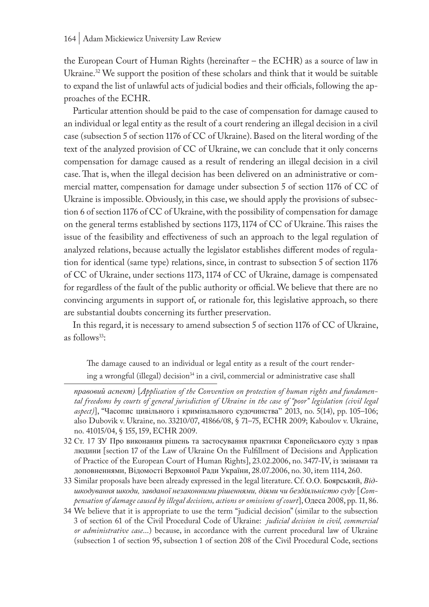the European Court of Human Rights (hereinafter – the ECHR) as a source of law in Ukraine.32 We support the position of these scholars and think that it would be suitable to expand the list of unlawful acts of judicial bodies and their officials, following the approaches of the ECHR.

Particular attention should be paid to the case of compensation for damage caused to an individual or legal entity as the result of a court rendering an illegal decision in a civil case (subsection 5 of section 1176 of CC of Ukraine). Based on the literal wording of the text of the analyzed provision of CC of Ukraine, we can conclude that it only concerns compensation for damage caused as a result of rendering an illegal decision in a civil case. That is, when the illegal decision has been delivered on an administrative or commercial matter, compensation for damage under subsection 5 of section 1176 of CC of Ukraine is impossible. Obviously, in this case, we should apply the provisions of subsection 6 of section 1176 of CC of Ukraine, with the possibility of compensation for damage on the general terms established by sections 1173, 1174 of CC of Ukraine. This raises the issue of the feasibility and effectiveness of such an approach to the legal regulation of analyzed relations, because actually the legislator establishes different modes of regulation for identical (same type) relations, since, in contrast to subsection 5 of section 1176 of CC of Ukraine, under sections 1173, 1174 of CC of Ukraine, damage is compensated for regardless of the fault of the public authority or official. We believe that there are no convincing arguments in support of, or rationale for, this legislative approach, so there are substantial doubts concerning its further preservation.

In this regard, it is necessary to amend subsection 5 of section 1176 of CC of Ukraine, as follows<sup>33</sup>:

The damage caused to an individual or legal entity as a result of the court rendering a wrongful (illegal) decision<sup>34</sup> in a civil, commercial or administrative case shall

32 Ст. 17 ЗУ Про виконання рішень та застосування практики Європейського суду з прав людини [section 17 of the Law of Ukraine On the Fulfillment of Decisions and Application of Practice of the European Court of Human Rights], 23.02.2006, no. 3477-IV, із змінами та доповненнями, Відомості Верховної Ради України, 28.07.2006, no. 30, item 1114, 260.

33 Similar proposals have been already expressed in the legal literature. Cf. О.О. Боярський, *Відшкодування шкоди, завданої незаконними рішеннями, діями чи бездіяльністю суду* [*Compensation of damage caused by illegal decisions, actions or omissions of court*], Одеса 2008, pp. 11, 86.

*правовий аспект)* [*Application of the Convention on protection of human rights and fundamental freedoms by courts of general jurisdiction of Ukraine in the case of "poor" legislation (civil legal aspect)*], "Часопис цивільного і кримінального судочинства" 2013, no. 5(14), pp. 105–106; also Dubovik v. Ukraine, no. 33210/07, 41866/08, § 71–75, ECHR 2009; Kaboulov v. Ukraine, no. 41015/04, § 155, 159, ECHR 2009.

<sup>34</sup> We believe that it is appropriate to use the term "judicial decision" (similar to the subsection 3 of section 61 of the Civil Procedural Code of Ukraine: *judicial decision in civil, commercial or administrative case*...) because, in accordance with the current procedural law of Ukraine (subsection 1 of section 95, subsection 1 of section 208 of the Civil Procedural Code, sections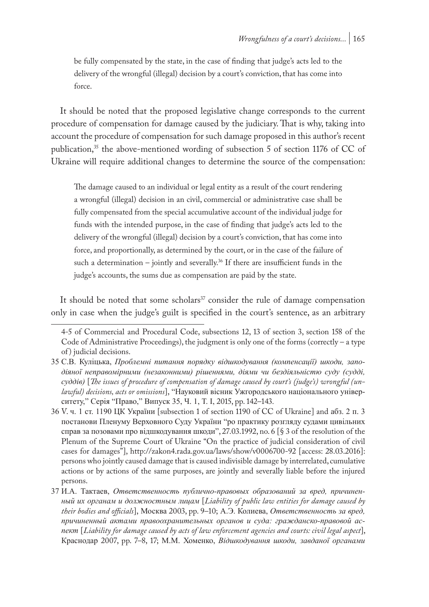be fully compensated by the state, in the case of finding that judge's acts led to the delivery of the wrongful (illegal) decision by a court's conviction, that has come into force.

It should be noted that the proposed legislative change corresponds to the current procedure of compensation for damage caused by the judiciary. That is why, taking into account the procedure of compensation for such damage proposed in this author's recent publication, $35$  the above-mentioned wording of subsection 5 of section 1176 of CC of Ukraine will require additional changes to determine the source of the compensation:

The damage caused to an individual or legal entity as a result of the court rendering a wrongful (illegal) decision in an civil, commercial or administrative case shall be fully compensated from the special accumulative account of the individual judge for funds with the intended purpose, in the case of finding that judge's acts led to the delivery of the wrongful (illegal) decision by a court's conviction, that has come into force, and proportionally, as determined by the court, or in the case of the failure of such a determination – jointly and severally.<sup>36</sup> If there are insufficient funds in the judge's accounts, the sums due as compensation are paid by the state.

It should be noted that some scholars<sup>37</sup> consider the rule of damage compensation only in case when the judge's guilt is specified in the court's sentence, as an arbitrary

<sup>4-5</sup> of Commercial and Procedural Code, subsections 12, 13 of section 3, section 158 of the Code of Administrative Proceedings), the judgment is only one of the forms (correctly – a type of ) judicial decisions.

<sup>35</sup> С.В. Куліцька, *Проблемні питання порядку відшкодування (компенсації) шкоди, заподіяної неправомірними (незаконними) рішеннями, діями чи бездіяльністю суду (судді, суддів)* [*The issues of procedure of compensation of damage caused by court's (judge's) wrongful (unlawful) decisions, acts or omissions*], "Науковий вісник Ужгородського національного університету," Серія "Право," Випуск 35, Ч. 1, Т. І, 2015, pp. 142–143.

<sup>36</sup> V. ч. 1 ст. 1190 ЦК України [subsection 1 of section 1190 of CC of Ukraine] and абз. 2 п. 3 постанови Пленуму Верховного Суду України "ро практику розгляду судами цивільних справ за позовами про відшкодування шкоди", 27.03.1992, no. 6 [§ 3 of the resolution of the Plenum of the Supreme Court of Ukraine "On the practice of judicial consideration of civil cases for damages"], http://zakon4.rada.gov.ua/laws/show/v0006700-92 [access: 28.03.2016]: persons who jointly caused damage that is caused indivisible damage by interrelated, cumulative actions or by actions of the same purposes, are jointly and severally liable before the injured persons.

<sup>37</sup> И.А. Тактаев, *Ответственность публично-правовых образований за вред, причиненный их органам и должностным лицам* [*Liability of public law entities for damage caused by their bodies and officials*], Москва 2003, pp. 9–10; А.Э. Колиева, *Ответственность за вред, причиненный актами правоохранительных органов и суда: гражданско-правовой аспект* [*Liability for damage caused by acts of law enforcement agencies and courts: civil legal aspect*], Краснодар 2007, pp. 7–8, 17; М.М. Хоменко, *Відшкодування шкоди, завданої органами*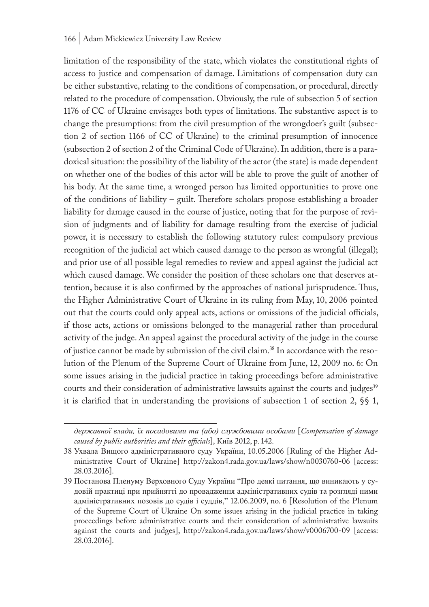limitation of the responsibility of the state, which violates the constitutional rights of access to justice and compensation of damage. Limitations of compensation duty can be either substantive, relating to the conditions of compensation, or procedural, directly related to the procedure of compensation. Obviously, the rule of subsection 5 of section 1176 of CC of Ukraine envisages both types of limitations. The substantive aspect is to change the presumptions: from the civil presumption of the wrongdoer's guilt (subsection 2 of section 1166 of CC of Ukraine) to the criminal presumption of innocence (subsection 2 of section 2 of the Criminal Code of Ukraine). In addition, there is a paradoxical situation: the possibility of the liability of the actor (the state) is made dependent on whether one of the bodies of this actor will be able to prove the guilt of another of his body. At the same time, a wronged person has limited opportunities to prove one of the conditions of liability – guilt. Therefore scholars propose establishing a broader liability for damage caused in the course of justice, noting that for the purpose of revision of judgments and of liability for damage resulting from the exercise of judicial power, it is necessary to establish the following statutory rules: compulsory previous recognition of the judicial act which caused damage to the person as wrongful (illegal); and prior use of all possible legal remedies to review and appeal against the judicial act which caused damage. We consider the position of these scholars one that deserves attention, because it is also confirmed by the approaches of national jurisprudence. Thus, the Higher Administrative Court of Ukraine in its ruling from May, 10, 2006 pointed out that the courts could only appeal acts, actions or omissions of the judicial officials, if those acts, actions or omissions belonged to the managerial rather than procedural activity of the judge. An appeal against the procedural activity of the judge in the course of justice cannot be made by submission of the civil claim.38 In accordance with the resolution of the Plenum of the Supreme Court of Ukraine from June, 12, 2009 no. 6: On some issues arising in the judicial practice in taking proceedings before administrative courts and their consideration of administrative lawsuits against the courts and judges<sup>39</sup> it is clarified that in understanding the provisions of subsection 1 of section 2, §§ 1,

*державної влади, їх посадовими та (або) службовими особами* [*Compensation of damage caused by public authorities and their officials*], Київ 2012, p. 142.

<sup>38</sup> Ухвала Вищого адміністративного суду України, 10.05.2006 [Ruling of the Higher Administrative Court of Ukraine] http://zakon4.rada.gov.ua/laws/show/n0030760-06 [access: 28.03.2016].

<sup>39</sup> Постанова Пленуму Верховного Суду України "Про деякі питання, що виникають у судовій практиці при прийнятті до провадження адміністративних судів та розгляді ними адміністративних позовів до судів і суддів," 12.06.2009, no. 6 [Resolution of the Plenum of the Supreme Court of Ukraine On some issues arising in the judicial practice in taking proceedings before administrative courts and their consideration of administrative lawsuits against the courts and judges], http://zakon4.rada.gov.ua/laws/show/v0006700-09 [access: 28.03.2016].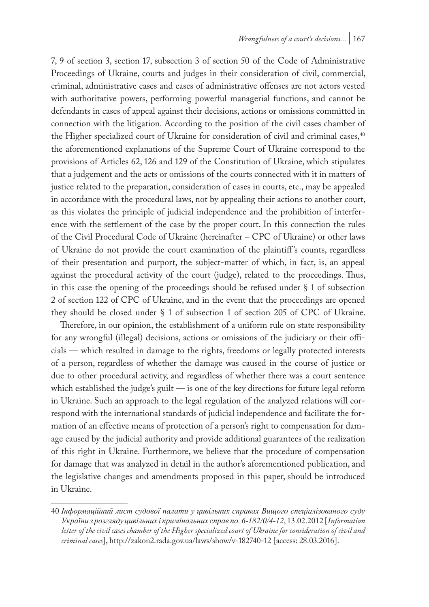7, 9 of section 3, section 17, subsection 3 of section 50 of the Code of Administrative Proceedings of Ukraine, courts and judges in their consideration of civil, commercial, criminal, administrative cases and cases of administrative offenses are not actors vested with authoritative powers, performing powerful managerial functions, and cannot be defendants in cases of appeal against their decisions, actions or omissions committed in connection with the litigation. According to the position of the civil cases chamber of the Higher specialized court of Ukraine for consideration of civil and criminal cases,<sup>40</sup> the aforementioned explanations of the Supreme Court of Ukraine correspond to the provisions of Articles 62, 126 and 129 of the Constitution of Ukraine, which stipulates that a judgement and the acts or omissions of the courts connected with it in matters of justice related to the preparation, consideration of cases in courts, etc., may be appealed in accordance with the procedural laws, not by appealing their actions to another court, as this violates the principle of judicial independence and the prohibition of interference with the settlement of the case by the proper court. In this connection the rules of the Civil Procedural Code of Ukraine (hereinafter – CPC of Ukraine) or other laws of Ukraine do not provide the court examination of the plaintiff 's counts, regardless of their presentation and purport, the subject-matter of which, in fact, is, an appeal against the procedural activity of the court (judge), related to the proceedings. Thus, in this case the opening of the proceedings should be refused under § 1 of subsection 2 of section 122 of CPC of Ukraine, and in the event that the proceedings are opened they should be closed under § 1 of subsection 1 of section 205 of CPC of Ukraine.

Therefore, in our opinion, the establishment of a uniform rule on state responsibility for any wrongful (illegal) decisions, actions or omissions of the judiciary or their officials — which resulted in damage to the rights, freedoms or legally protected interests of a person, regardless of whether the damage was caused in the course of justice or due to other procedural activity, and regardless of whether there was a court sentence which established the judge's guilt — is one of the key directions for future legal reform in Ukraine. Such an approach to the legal regulation of the analyzed relations will correspond with the international standards of judicial independence and facilitate the formation of an effective means of protection of a person's right to compensation for damage caused by the judicial authority and provide additional guarantees of the realization of this right in Ukraine. Furthermore, we believe that the procedure of compensation for damage that was analyzed in detail in the author's aforementioned publication, and the legislative changes and amendments proposed in this paper, should be introduced in Ukraine.

<sup>40</sup> *Інформаційний лист судової палати у цивільних справах Вищого спеціалізованого суду України з розгляду цивільних і кримінальних справ no. 6-182/0/4-12*, 13.02.2012 [*Information letter of the civil cases chamber of the Higher specialized court of Ukraine for consideration of civil and criminal cases*], http://zakon2.rada.gov.ua/laws/show/v-182740-12 [access: 28.03.2016].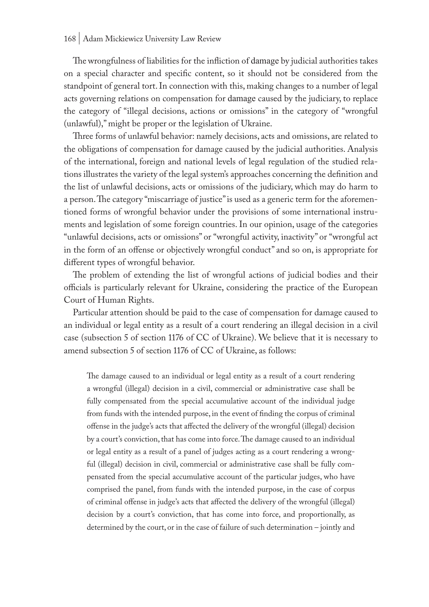Thewrongfulness of liabilities for the infliction of damage by judicial authorities takes on a special character and specific content, so it should not be considered from the standpoint of general tort. In connection with this, making changes to a number of legal acts governing relations on compensation for damage caused by the judiciary, to replace the category of "illegal decisions, actions or omissions" in the category of "wrongful (unlawful)," might be proper or the legislation of Ukraine.

Three forms of unlawful behavior: namely decisions, acts and omissions, are related to the obligations of compensation for damage caused by the judicial authorities. Analysis of the international, foreign and national levels of legal regulation of the studied relations illustrates the variety of the legal system's approaches concerning the definition and the list of unlawful decisions, acts or omissions of the judiciary, which may do harm to a person. The category "miscarriage of justice" is used as a generic term for the aforementioned forms of wrongful behavior under the provisions of some international instruments and legislation of some foreign countries. In our opinion, usage of the categories "unlawful decisions, acts or omissions" or "wrongful activity, inactivity" or "wrongful act in the form of an offense or objectively wrongful conduct" and so on, is appropriate for different types of wrongful behavior.

The problem of extending the list of wrongful actions of judicial bodies and their officials is particularly relevant for Ukraine, considering the practice of the European Court of Human Rights.

Particular attention should be paid to the case of compensation for damage caused to an individual or legal entity as a result of a court rendering an illegal decision in a civil case (subsection 5 of section 1176 of CC of Ukraine). We believe that it is necessary to amend subsection 5 of section 1176 of CC of Ukraine, as follows:

The damage caused to an individual or legal entity as a result of a court rendering a wrongful (illegal) decision in a civil, commercial or administrative case shall be fully compensated from the special accumulative account of the individual judge from funds with the intended purpose, in the event of finding the corpus of criminal offense in the judge's acts that affected the delivery of the wrongful (illegal) decision by a court's conviction, that has come into force. The damage caused to an individual or legal entity as a result of a panel of judges acting as a court rendering a wrongful (illegal) decision in civil, commercial or administrative case shall be fully compensated from the special accumulative account of the particular judges, who have comprised the panel, from funds with the intended purpose, in the case of corpus of criminal offense in judge's acts that affected the delivery of the wrongful (illegal) decision by a court's conviction, that has come into force, and proportionally, as determined by the court, or in the case of failure of such determination – jointly and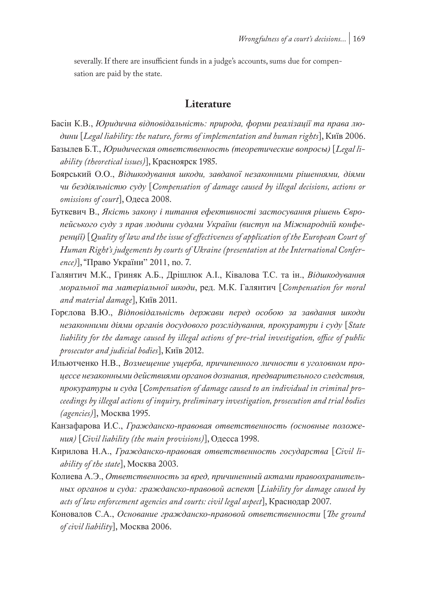severally. If there are insufficient funds in a judge's accounts, sums due for compensation are paid by the state.

#### **Literature**

- Басін К.В., *Юридична відповідальність: природа, форми реалізації та права людини* [*Legal liability: the nature, forms of implementation and human rights*], Київ 2006.
- Базылев Б.Т., *Юридическая ответственность (теоретические вопросы)* [*Legal liability (theoretical issues)*], Красноярск 1985.
- Боярський О.О., *Відшкодування шкоди, завданої незаконними рішеннями, діями чи бездіяльністю суду* [*Compensation of damage caused by illegal decisions, actions or omissions of court*], Одеса 2008.
- Буткевич В., *Якість закону і питання ефективності застосування рішень Європейського суду з прав людини судами України (виступ на Міжнародній конференції)* [*Quality of law and the issue of effectiveness of application of the European Court of Human Right's judgements by courts of Ukraine (presentation at the International Conference)*], "Право України" 2011, no. 7.
- Галянтич М.К., Гриняк А.Б., Дрішлюк А.І., Ківалова Т.С. та ін., *Відшкодування моральної та матеріальної шкоди*, ред. М.К. Галянтич [*Compensation for moral and material damage*], Київ 2011.
- Горєлова В.Ю., *Відповідальність держави перед особою за завдання шкоди незаконними діями органів досудового розслідування, прокуратури і суду* [*State liability for the damage caused by illegal actions of pre-trial investigation, office of public prosecutor and judicial bodies*], Київ 2012.
- Ильютченко Н.В., *Возмещение ущерба, причиненного личности в уголовном процессе незаконными действиями органов дознания, предварительного следствия, прокуратуры и суда* [*Compensation of damage caused to an individual in criminal proceedings by illegal actions of inquiry, preliminary investigation, prosecution and trial bodies (agencies)*], Москва 1995.
- Канзафарова И.С., *Гражданско-правовая ответственность (основные положения)* [*Civil liability (the main provisions)*], Одесса 1998.
- Кирилова Н.А., *Гражданско-правовая ответственность государства* [*Civil liability of the state*], Москва 2003.
- Колиева А.Э., *Ответственность за вред, причиненный актами правоохранительных органов и суда: гражданско-правовой аспект* [*Liability for damage caused by acts of law enforcement agencies and courts: civil legal aspect*], Краснодар 2007.
- Коновалов С.А., *Основание гражданско-правовой ответственности* [*The ground of civil liability*], Москва 2006.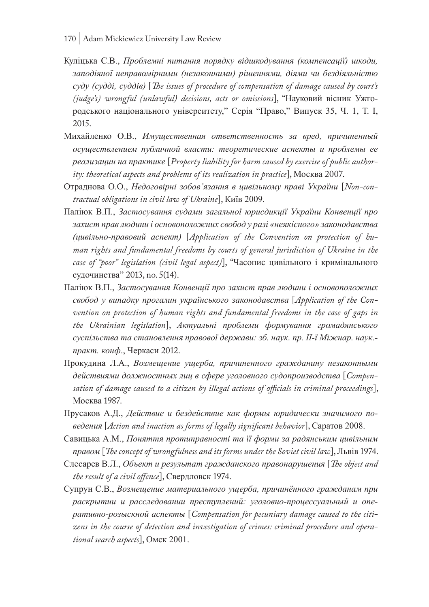- 170 | Adam Mickiewicz University Law Review
- Куліцька С.В., *Проблемні питання порядку відшкодування (компенсації) шкоди, заподіяної неправомірними (незаконними) рішеннями, діями чи бездіяльністю суду (судді, суддів)* [*The issues of procedure of compensation of damage caused by court's (judge's) wrongful (unlawful) decisions, acts or omissions*], "Науковий вісник Ужгородського національного університету," Серія "Право," Випуск 35, Ч. 1, Т. І, 2015.
- Михайленко О.В., *Имущественная ответственность за вред, причиненный осуществлением публичной власти: теоретические аспекты и проблемы ее реализации на практике* [*Property liability for harm caused by exercise of public authority: theoretical aspects and problems of its realization in practice*], Москва 2007.
- Отраднова О.О., *Недоговірні зобов'язання в цивільному праві України* [*Non-contractual obligations in civil law of Ukraine*], Київ 2009.
- Паліюк В.П., *Застосування судами загальної юрисдикції України Конвенції про захист прав людини і основоположних свобод у разі «неякісного» законодавства (цивільно-правовий аспект)* [*Application of the Convention on protection of human rights and fundamental freedoms by courts of general jurisdiction of Ukraine in the case of "poor" legislation (civil legal aspect)*], "Часопис цивільного і кримінального судочинства" 2013, no. 5(14).
- Паліюк В.П., *Застосування Конвенції про захист прав людини і основоположних свобод у випадку прогалин українського законодавства* [*Application of the Con*vention on protection of human rights and fundamental freedoms in the case of gaps in *the Ukrainian legislation*], *Актуальні проблеми формування громадянського суспільства та становлення правової держави: зб. наук. пр. ІІ-ї Міжнар. наук. практ. конф*., Черкаси 2012.
- Прокудина Л.А., *Возмещение ущерба, причиненного гражданину незаконными действиями должностных лиц в сфере уголовного судопроизводства* [*Compensation of damage caused to a citizen by illegal actions of officials in criminal proceedings*], Москва 1987.
- Прусаков А.Д., *Действие и бездействие как формы юридически значимого поведения* [*Action and inaction as forms of legally significant behavior*], Саратов 2008.
- Савицька А.М., *Поняття протиправності та її форми за радянським цивільним правом* [*The concept of wrongfulness and its forms under the Soviet civil law*], Львів 1974.
- Слесарев В.Л., *Объект и результат гражданского правонарушения* [*The object and the result of a civil offence*], Свердловск 1974.
- Супрун С.В., *Возмещение материального ущерба, причинённого гражданам при раскрытии и расследовании преступлений: уголовно-процессуальный и оперативно-розыскной аспекты* [*Compensation for pecuniary damage caused to the citizens in the course of detection and investigation of crimes: criminal procedure and operational search aspects*], Омск 2001.